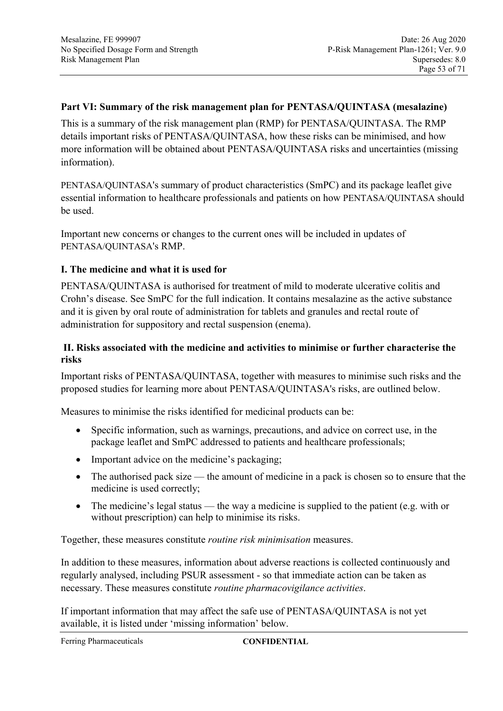## **Part VI: Summary of the risk management plan for PENTASA/QUINTASA (mesalazine)**

This is a summary of the risk management plan (RMP) for PENTASA/QUINTASA. The RMP details important risks of PENTASA/QUINTASA, how these risks can be minimised, and how more information will be obtained about PENTASA/QUINTASA risks and uncertainties (missing information).

PENTASA/QUINTASA's summary of product characteristics (SmPC) and its package leaflet give essential information to healthcare professionals and patients on how PENTASA/QUINTASA should be used.

Important new concerns or changes to the current ones will be included in updates of PENTASA/QUINTASA's RMP.

# **I. The medicine and what it is used for**

PENTASA/QUINTASA is authorised for treatment of mild to moderate ulcerative colitis and Crohn's disease. See SmPC for the full indication. It contains mesalazine as the active substance and it is given by oral route of administration for tablets and granules and rectal route of administration for suppository and rectal suspension (enema).

# **II. Risks associated with the medicine and activities to minimise or further characterise the risks**

Important risks of PENTASA/QUINTASA, together with measures to minimise such risks and the proposed studies for learning more about PENTASA/QUINTASA's risks, are outlined below.

Measures to minimise the risks identified for medicinal products can be:

- Specific information, such as warnings, precautions, and advice on correct use, in the package leaflet and SmPC addressed to patients and healthcare professionals;
- Important advice on the medicine's packaging;
- The authorised pack size the amount of medicine in a pack is chosen so to ensure that the medicine is used correctly;
- The medicine's legal status the way a medicine is supplied to the patient (e.g. with or without prescription) can help to minimise its risks.

Together, these measures constitute *routine risk minimisation* measures.

In addition to these measures, information about adverse reactions is collected continuously and regularly analysed, including PSUR assessment - so that immediate action can be taken as necessary. These measures constitute *routine pharmacovigilance activities*.

If important information that may affect the safe use of PENTASA/QUINTASA is not yet available, it is listed under 'missing information' below.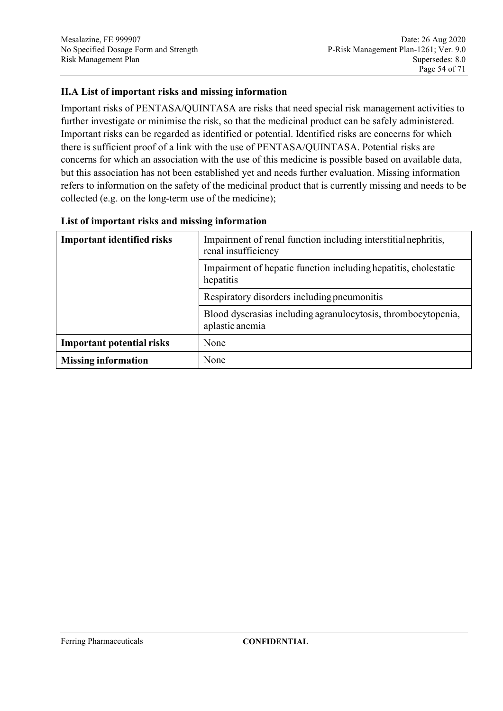# **II.A List of important risks and missing information**

Important risks of PENTASA/QUINTASA are risks that need special risk management activities to further investigate or minimise the risk, so that the medicinal product can be safely administered. Important risks can be regarded as identified or potential. Identified risks are concerns for which there is sufficient proof of a link with the use of PENTASA/QUINTASA. Potential risks are concerns for which an association with the use of this medicine is possible based on available data, but this association has not been established yet and needs further evaluation. Missing information refers to information on the safety of the medicinal product that is currently missing and needs to be collected (e.g. on the long-term use of the medicine);

| <b>Important identified risks</b> | Impairment of renal function including interstitial nephritis,<br>renal insufficiency |
|-----------------------------------|---------------------------------------------------------------------------------------|
|                                   | Impairment of hepatic function including hepatitis, cholestatic<br>hepatitis          |
|                                   | Respiratory disorders including pneumonitis                                           |
|                                   | Blood dyscrasias including agranulocytosis, thrombocytopenia,<br>aplastic anemia      |
| <b>Important potential risks</b>  | None                                                                                  |
| <b>Missing information</b>        | None                                                                                  |

#### **List of important risks and missing information**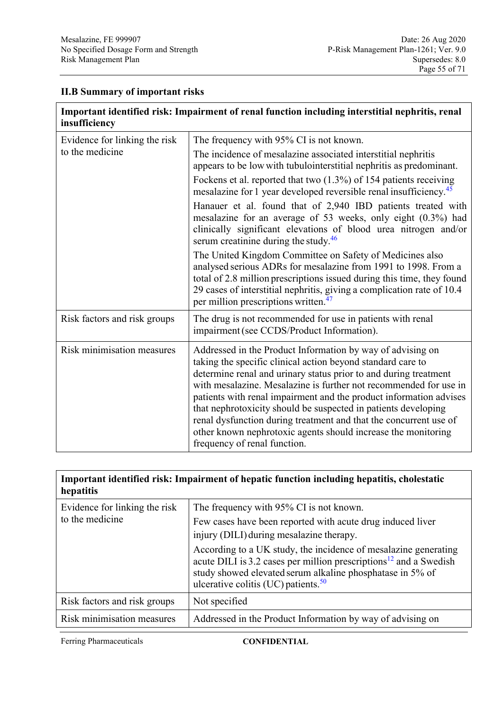# **II.B Summary of important risks**

| Important identified risk: Impairment of renal function including interstitial nephritis, renal<br>insufficiency |                                                                                                                                                                                                                                                                                                                                                                                                                                                                                                                                                                                  |  |
|------------------------------------------------------------------------------------------------------------------|----------------------------------------------------------------------------------------------------------------------------------------------------------------------------------------------------------------------------------------------------------------------------------------------------------------------------------------------------------------------------------------------------------------------------------------------------------------------------------------------------------------------------------------------------------------------------------|--|
| Evidence for linking the risk<br>to the medicine                                                                 | The frequency with 95% CI is not known.                                                                                                                                                                                                                                                                                                                                                                                                                                                                                                                                          |  |
|                                                                                                                  | The incidence of mesalazine associated interstitial nephritis<br>appears to be low with tubulointerstitial nephritis as predominant.                                                                                                                                                                                                                                                                                                                                                                                                                                             |  |
|                                                                                                                  | Fockens et al. reported that two $(1.3%)$ of 154 patients receiving<br>mesalazine for 1 year developed reversible renal insufficiency. <sup>45</sup>                                                                                                                                                                                                                                                                                                                                                                                                                             |  |
|                                                                                                                  | Hanauer et al. found that of 2,940 IBD patients treated with<br>mesalazine for an average of 53 weeks, only eight (0.3%) had<br>clinically significant elevations of blood urea nitrogen and/or<br>serum creatinine during the study. $46$                                                                                                                                                                                                                                                                                                                                       |  |
|                                                                                                                  | The United Kingdom Committee on Safety of Medicines also<br>analysed serious ADRs for mesalazine from 1991 to 1998. From a<br>total of 2.8 million prescriptions issued during this time, they found<br>29 cases of interstitial nephritis, giving a complication rate of 10.4<br>per million prescriptions written. <sup>47</sup>                                                                                                                                                                                                                                               |  |
| Risk factors and risk groups                                                                                     | The drug is not recommended for use in patients with renal<br>impairment (see CCDS/Product Information).                                                                                                                                                                                                                                                                                                                                                                                                                                                                         |  |
| Risk minimisation measures                                                                                       | Addressed in the Product Information by way of advising on<br>taking the specific clinical action beyond standard care to<br>determine renal and urinary status prior to and during treatment<br>with mesalazine. Mesalazine is further not recommended for use in<br>patients with renal impairment and the product information advises<br>that nephrotoxicity should be suspected in patients developing<br>renal dysfunction during treatment and that the concurrent use of<br>other known nephrotoxic agents should increase the monitoring<br>frequency of renal function. |  |

| Important identified risk: Impairment of hepatic function including hepatitis, cholestatic<br>hepatitis |                                                                                                                                                                                                                                                                  |  |
|---------------------------------------------------------------------------------------------------------|------------------------------------------------------------------------------------------------------------------------------------------------------------------------------------------------------------------------------------------------------------------|--|
| Evidence for linking the risk<br>to the medicine                                                        | The frequency with 95% CI is not known.                                                                                                                                                                                                                          |  |
|                                                                                                         | Few cases have been reported with acute drug induced liver<br>injury (DILI) during mesalazine therapy.                                                                                                                                                           |  |
|                                                                                                         | According to a UK study, the incidence of mesalazine generating<br>acute DILI is 3.2 cases per million prescriptions <sup>12</sup> and a Swedish<br>study showed elevated serum alkaline phosphatase in 5% of<br>ulcerative colitis (UC) patients. <sup>50</sup> |  |
| Risk factors and risk groups                                                                            | Not specified                                                                                                                                                                                                                                                    |  |
| Risk minimisation measures                                                                              | Addressed in the Product Information by way of advising on                                                                                                                                                                                                       |  |

Ferring Pharmaceuticals **CONFIDENTIAL**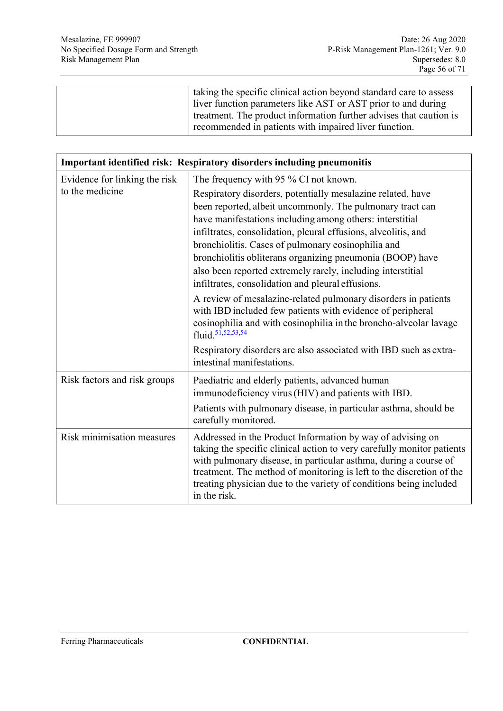| taking the specific clinical action beyond standard care to assess |
|--------------------------------------------------------------------|
| liver function parameters like AST or AST prior to and during      |
| treatment. The product information further advises that caution is |
| recommended in patients with impaired liver function.              |
|                                                                    |

| <b>Important identified risk: Respiratory disorders including pneumonitis</b> |                                                                                                                                                                                                                                                                                                                                                                                                                                                                                               |  |
|-------------------------------------------------------------------------------|-----------------------------------------------------------------------------------------------------------------------------------------------------------------------------------------------------------------------------------------------------------------------------------------------------------------------------------------------------------------------------------------------------------------------------------------------------------------------------------------------|--|
| Evidence for linking the risk                                                 | The frequency with 95 % CI not known.                                                                                                                                                                                                                                                                                                                                                                                                                                                         |  |
| to the medicine                                                               | Respiratory disorders, potentially mesalazine related, have<br>been reported, albeit uncommonly. The pulmonary tract can<br>have manifestations including among others: interstitial<br>infiltrates, consolidation, pleural effusions, alveolitis, and<br>bronchiolitis. Cases of pulmonary eosinophilia and<br>bronchiolitis obliterans organizing pneumonia (BOOP) have<br>also been reported extremely rarely, including interstitial<br>infiltrates, consolidation and pleural effusions. |  |
|                                                                               | A review of mesalazine-related pulmonary disorders in patients<br>with IBD included few patients with evidence of peripheral<br>eosinophilia and with eosinophilia in the broncho-alveolar lavage<br>fluid. <sup>51,52,53,54</sup><br>Respiratory disorders are also associated with IBD such as extra-<br>intestinal manifestations.                                                                                                                                                         |  |
| Risk factors and risk groups                                                  | Paediatric and elderly patients, advanced human<br>immunodeficiency virus (HIV) and patients with IBD.<br>Patients with pulmonary disease, in particular asthma, should be<br>carefully monitored.                                                                                                                                                                                                                                                                                            |  |
| Risk minimisation measures                                                    | Addressed in the Product Information by way of advising on<br>taking the specific clinical action to very carefully monitor patients<br>with pulmonary disease, in particular asthma, during a course of<br>treatment. The method of monitoring is left to the discretion of the<br>treating physician due to the variety of conditions being included<br>in the risk.                                                                                                                        |  |